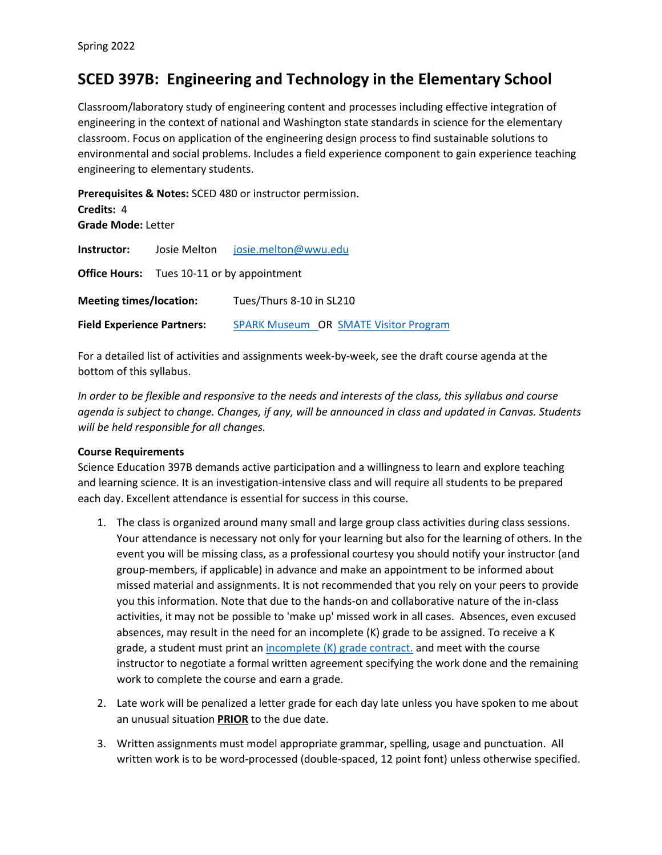# **SCED 397B: Engineering and Technology in the Elementary School**

Classroom/laboratory study of engineering content and processes including effective integration of engineering in the context of national and Washington state standards in science for the elementary classroom. Focus on application of the engineering design process to find sustainable solutions to environmental and social problems. Includes a field experience component to gain experience teaching engineering to elementary students.

**Prerequisites & Notes:** SCED 480 or instructor permission. **Credits:** 4 **Grade Mode:** Letter **Instructor:** Josie Melton [josie.melton@wwu.edu](mailto:josie.melton@wwu.edu) **Office Hours:** Tues 10-11 or by appointment **Meeting times/location:** Tues/Thurs 8-10 in SL210 **Field Experience Partners:** [SPARK Museum](https://www.sparkmuseum.org/) OR [SMATE Visitor Program](https://smate.wwu.edu/smate-and-local-partnerships)

For a detailed list of activities and assignments week-by-week, see the draft course agenda at the bottom of this syllabus.

*In order to be flexible and responsive to the needs and interests of the class, this syllabus and course agenda is subject to change. Changes, if any, will be announced in class and updated in Canvas. Students will be held responsible for all changes.*

#### **Course Requirements**

Science Education 397B demands active participation and a willingness to learn and explore teaching and learning science. It is an investigation-intensive class and will require all students to be prepared each day. Excellent attendance is essential for success in this course.

- 1. The class is organized around many small and large group class activities during class sessions. Your attendance is necessary not only for your learning but also for the learning of others. In the event you will be missing class, as a professional courtesy you should notify your instructor (and group-members, if applicable) in advance and make an appointment to be informed about missed material and assignments. It is not recommended that you rely on your peers to provide you this information. Note that due to the hands-on and collaborative nature of the in-class activities, it may not be possible to 'make up' missed work in all cases. Absences, even excused absences, may result in the need for an incomplete (K) grade to be assigned. To receive a K grade, a student must print an incomplete  $(K)$  grade contract. and meet with the course instructor to negotiate a formal written agreement specifying the work done and the remaining work to complete the course and earn a grade.
- 2. Late work will be penalized a letter grade for each day late unless you have spoken to me about an unusual situation **PRIOR** to the due date.
- 3. Written assignments must model appropriate grammar, spelling, usage and punctuation. All written work is to be word-processed (double-spaced, 12 point font) unless otherwise specified.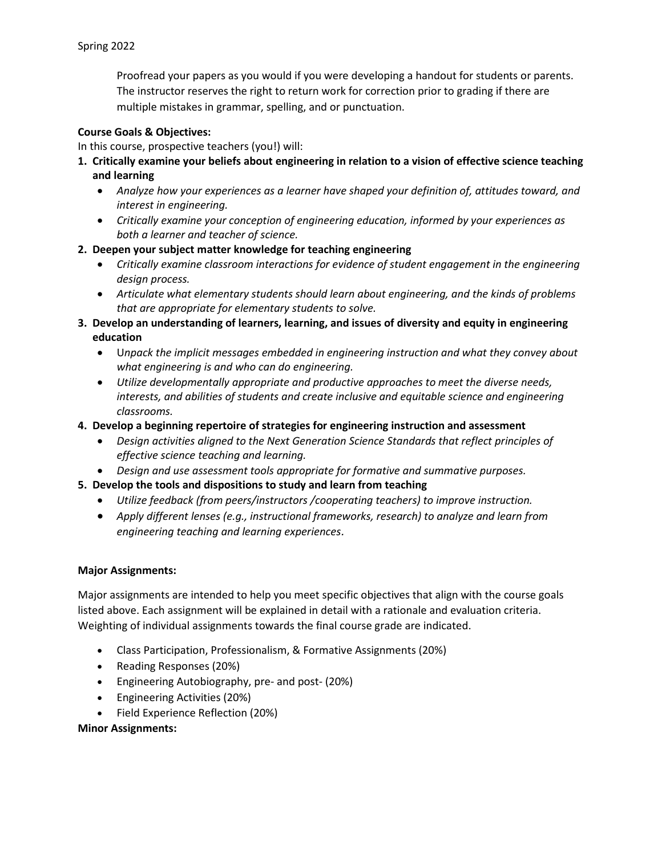Proofread your papers as you would if you were developing a handout for students or parents. The instructor reserves the right to return work for correction prior to grading if there are multiple mistakes in grammar, spelling, and or punctuation.

# **Course Goals & Objectives:**

In this course, prospective teachers (you!) will:

- **1. Critically examine your beliefs about engineering in relation to a vision of effective science teaching and learning**
	- *Analyze how your experiences as a learner have shaped your definition of, attitudes toward, and interest in engineering.*
	- *Critically examine your conception of engineering education, informed by your experiences as both a learner and teacher of science.*

# **2. Deepen your subject matter knowledge for teaching engineering**

- *Critically examine classroom interactions for evidence of student engagement in the engineering design process.*
- *Articulate what elementary students should learn about engineering, and the kinds of problems that are appropriate for elementary students to solve.*
- **3. Develop an understanding of learners, learning, and issues of diversity and equity in engineering education**
	- U*npack the implicit messages embedded in engineering instruction and what they convey about what engineering is and who can do engineering.*
	- *Utilize developmentally appropriate and productive approaches to meet the diverse needs, interests, and abilities of students and create inclusive and equitable science and engineering classrooms.*
- **4. Develop a beginning repertoire of strategies for engineering instruction and assessment**
	- *Design activities aligned to the Next Generation Science Standards that reflect principles of effective science teaching and learning.*
	- *Design and use assessment tools appropriate for formative and summative purposes.*
- **5. Develop the tools and dispositions to study and learn from teaching**
	- *Utilize feedback (from peers/instructors /cooperating teachers) to improve instruction.*
	- *Apply different lenses (e.g., instructional frameworks, research) to analyze and learn from engineering teaching and learning experiences.*

#### **Major Assignments:**

Major assignments are intended to help you meet specific objectives that align with the course goals listed above. Each assignment will be explained in detail with a rationale and evaluation criteria. Weighting of individual assignments towards the final course grade are indicated.

- Class Participation, Professionalism, & Formative Assignments (20%)
- Reading Responses (20%)
- Engineering Autobiography, pre- and post- (20%)
- Engineering Activities (20%)
- Field Experience Reflection (20%)

#### **Minor Assignments:**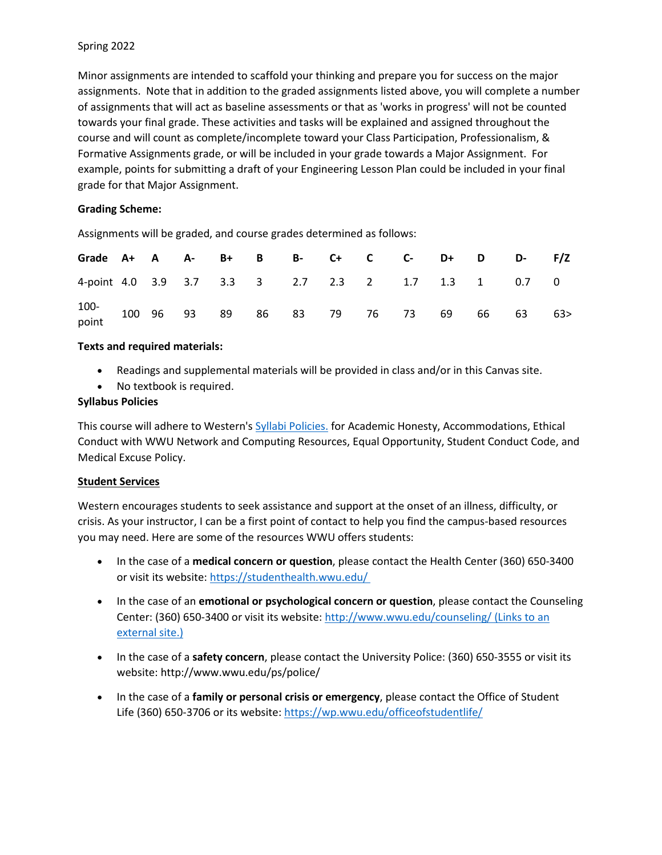## Spring 2022

Minor assignments are intended to scaffold your thinking and prepare you for success on the major assignments. Note that in addition to the graded assignments listed above, you will complete a number of assignments that will act as baseline assessments or that as 'works in progress' will not be counted towards your final grade. These activities and tasks will be explained and assigned throughout the course and will count as complete/incomplete toward your Class Participation, Professionalism, & Formative Assignments grade, or will be included in your grade towards a Major Assignment. For example, points for submitting a draft of your Engineering Lesson Plan could be included in your final grade for that Major Assignment.

## **Grading Scheme:**

Assignments will be graded, and course grades determined as follows:

| Grade A+ A A- B+ B B- C+ C C- D+ D D- F/Z              |  |  |  |  |  |  |  |
|--------------------------------------------------------|--|--|--|--|--|--|--|
| 4-point 4.0 3.9 3.7 3.3 3 2.7 2.3 2 1.7 1.3 1 0.7 0    |  |  |  |  |  |  |  |
| 100-<br>point 100 96 93 89 86 83 79 76 73 69 66 63 63> |  |  |  |  |  |  |  |

## **Texts and required materials:**

- Readings and supplemental materials will be provided in class and/or in this Canvas site.
- No textbook is required.

## **Syllabus Policies**

This course will adhere to Western's [Syllabi Policies.](https://syllabi.wwu.edu/) for Academic Honesty, Accommodations, Ethical Conduct with WWU Network and Computing Resources, Equal Opportunity, Student Conduct Code, and Medical Excuse Policy.

#### **Student Services**

Western encourages students to seek assistance and support at the onset of an illness, difficulty, or crisis. As your instructor, I can be a first point of contact to help you find the campus-based resources you may need. Here are some of the resources WWU offers students:

- In the case of a **medical concern or question**, please contact the Health Center (360) 650-3400 or visit its website: <https://studenthealth.wwu.edu/>
- In the case of an **emotional or psychological concern or question**, please contact the Counseling Center: (360) 650-3400 or visit its website: <http://www.wwu.edu/counseling/> (Links to an [external site.\)](http://www.wwu.edu/counseling/)
- In the case of a **safety concern**, please contact the University Police: (360) 650-3555 or visit its website: http://www.wwu.edu/ps/police/
- In the case of a **family or personal crisis or emergency**, please contact the Office of Student Life (360) 650-3706 or its website: <https://wp.wwu.edu/officeofstudentlife/>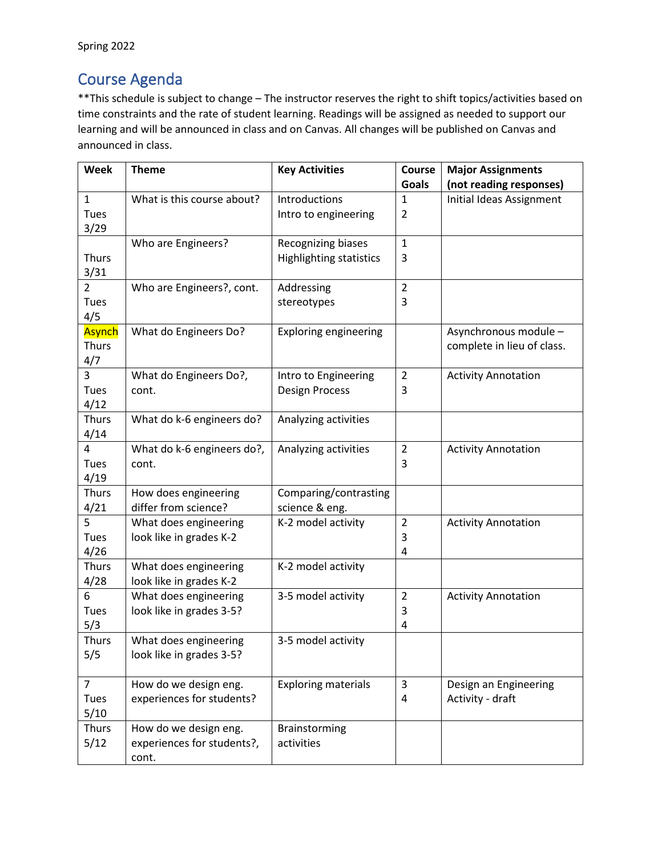# Course Agenda

\*\*This schedule is subject to change – The instructor reserves the right to shift topics/activities based on time constraints and the rate of student learning. Readings will be assigned as needed to support our learning and will be announced in class and on Canvas. All changes will be published on Canvas and announced in class.

| Week           | <b>Theme</b>               | <b>Key Activities</b>          | Course<br><b>Goals</b> | <b>Major Assignments</b><br>(not reading responses) |
|----------------|----------------------------|--------------------------------|------------------------|-----------------------------------------------------|
| $\mathbf{1}$   | What is this course about? | Introductions                  | $\mathbf{1}$           | Initial Ideas Assignment                            |
| Tues           |                            | Intro to engineering           | 2                      |                                                     |
| 3/29           |                            |                                |                        |                                                     |
|                | Who are Engineers?         | <b>Recognizing biases</b>      | $\mathbf{1}$           |                                                     |
| <b>Thurs</b>   |                            | <b>Highlighting statistics</b> | 3                      |                                                     |
| 3/31           |                            |                                |                        |                                                     |
| $\overline{2}$ | Who are Engineers?, cont.  | Addressing                     | $\overline{2}$         |                                                     |
| Tues           |                            | stereotypes                    | 3                      |                                                     |
| 4/5            |                            |                                |                        |                                                     |
| Asynch         | What do Engineers Do?      | <b>Exploring engineering</b>   |                        | Asynchronous module -                               |
| <b>Thurs</b>   |                            |                                |                        | complete in lieu of class.                          |
| 4/7            |                            |                                |                        |                                                     |
| 3              | What do Engineers Do?,     | Intro to Engineering           | $\overline{2}$         | <b>Activity Annotation</b>                          |
| Tues           | cont.                      | <b>Design Process</b>          | 3                      |                                                     |
| 4/12           |                            |                                |                        |                                                     |
| <b>Thurs</b>   | What do k-6 engineers do?  | Analyzing activities           |                        |                                                     |
| 4/14           |                            |                                |                        |                                                     |
| $\overline{4}$ | What do k-6 engineers do?, | Analyzing activities           | $\overline{2}$         | <b>Activity Annotation</b>                          |
| Tues           | cont.                      |                                | 3                      |                                                     |
| 4/19           |                            |                                |                        |                                                     |
| <b>Thurs</b>   | How does engineering       | Comparing/contrasting          |                        |                                                     |
| 4/21           | differ from science?       | science & eng.                 |                        |                                                     |
| 5              | What does engineering      | K-2 model activity             | $\overline{2}$         | <b>Activity Annotation</b>                          |
| Tues           | look like in grades K-2    |                                | 3                      |                                                     |
| 4/26           |                            |                                | 4                      |                                                     |
| Thurs          | What does engineering      | K-2 model activity             |                        |                                                     |
| 4/28           | look like in grades K-2    |                                |                        |                                                     |
| 6              | What does engineering      | 3-5 model activity             | $\overline{2}$         | <b>Activity Annotation</b>                          |
| Tues           | look like in grades 3-5?   |                                | 3                      |                                                     |
| 5/3            |                            |                                | 4                      |                                                     |
| <b>Thurs</b>   | What does engineering      | 3-5 model activity             |                        |                                                     |
| 5/5            | look like in grades 3-5?   |                                |                        |                                                     |
|                |                            |                                |                        |                                                     |
| $\overline{7}$ | How do we design eng.      | <b>Exploring materials</b>     | 3                      | Design an Engineering                               |
| Tues           | experiences for students?  |                                | 4                      | Activity - draft                                    |
| 5/10           |                            |                                |                        |                                                     |
| Thurs          | How do we design eng.      | Brainstorming                  |                        |                                                     |
| 5/12           | experiences for students?, | activities                     |                        |                                                     |
|                | cont.                      |                                |                        |                                                     |